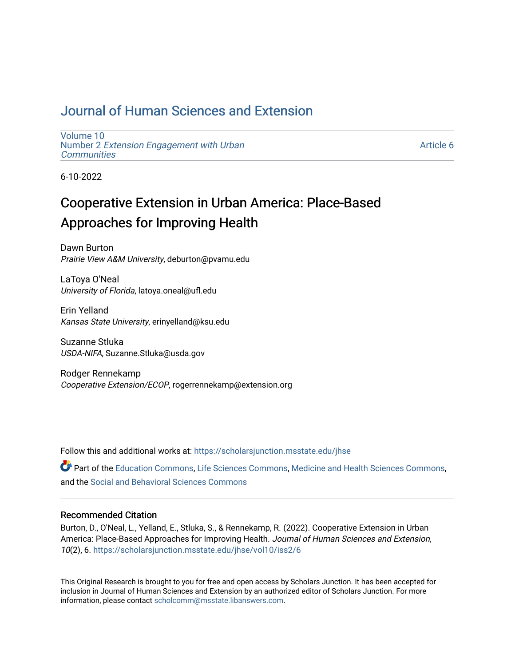## [Journal of Human Sciences and Extension](https://scholarsjunction.msstate.edu/jhse)

[Volume 10](https://scholarsjunction.msstate.edu/jhse/vol10) Number 2 [Extension Engagement with Urban](https://scholarsjunction.msstate.edu/jhse/vol10/iss2) **[Communities](https://scholarsjunction.msstate.edu/jhse/vol10/iss2)** 

[Article 6](https://scholarsjunction.msstate.edu/jhse/vol10/iss2/6) 

6-10-2022

# Cooperative Extension in Urban America: Place-Based Approaches for Improving Health

Dawn Burton Prairie View A&M University, deburton@pvamu.edu

LaToya O'Neal University of Florida, latoya.oneal@ufl.edu

Erin Yelland Kansas State University, erinyelland@ksu.edu

Suzanne Stluka USDA-NIFA, Suzanne.Stluka@usda.gov

Rodger Rennekamp Cooperative Extension/ECOP, rogerrennekamp@extension.org

Follow this and additional works at: [https://scholarsjunction.msstate.edu/jhse](https://scholarsjunction.msstate.edu/jhse?utm_source=scholarsjunction.msstate.edu%2Fjhse%2Fvol10%2Fiss2%2F6&utm_medium=PDF&utm_campaign=PDFCoverPages)

Part of the [Education Commons](https://network.bepress.com/hgg/discipline/784?utm_source=scholarsjunction.msstate.edu%2Fjhse%2Fvol10%2Fiss2%2F6&utm_medium=PDF&utm_campaign=PDFCoverPages), [Life Sciences Commons](https://network.bepress.com/hgg/discipline/1016?utm_source=scholarsjunction.msstate.edu%2Fjhse%2Fvol10%2Fiss2%2F6&utm_medium=PDF&utm_campaign=PDFCoverPages), [Medicine and Health Sciences Commons](https://network.bepress.com/hgg/discipline/648?utm_source=scholarsjunction.msstate.edu%2Fjhse%2Fvol10%2Fiss2%2F6&utm_medium=PDF&utm_campaign=PDFCoverPages), and the [Social and Behavioral Sciences Commons](https://network.bepress.com/hgg/discipline/316?utm_source=scholarsjunction.msstate.edu%2Fjhse%2Fvol10%2Fiss2%2F6&utm_medium=PDF&utm_campaign=PDFCoverPages) 

### Recommended Citation

Burton, D., O'Neal, L., Yelland, E., Stluka, S., & Rennekamp, R. (2022). Cooperative Extension in Urban America: Place-Based Approaches for Improving Health. Journal of Human Sciences and Extension, 10(2), 6. [https://scholarsjunction.msstate.edu/jhse/vol10/iss2/6](https://scholarsjunction.msstate.edu/jhse/vol10/iss2/6?utm_source=scholarsjunction.msstate.edu%2Fjhse%2Fvol10%2Fiss2%2F6&utm_medium=PDF&utm_campaign=PDFCoverPages) 

This Original Research is brought to you for free and open access by Scholars Junction. It has been accepted for inclusion in Journal of Human Sciences and Extension by an authorized editor of Scholars Junction. For more information, please contact [scholcomm@msstate.libanswers.com](mailto:scholcomm@msstate.libanswers.com).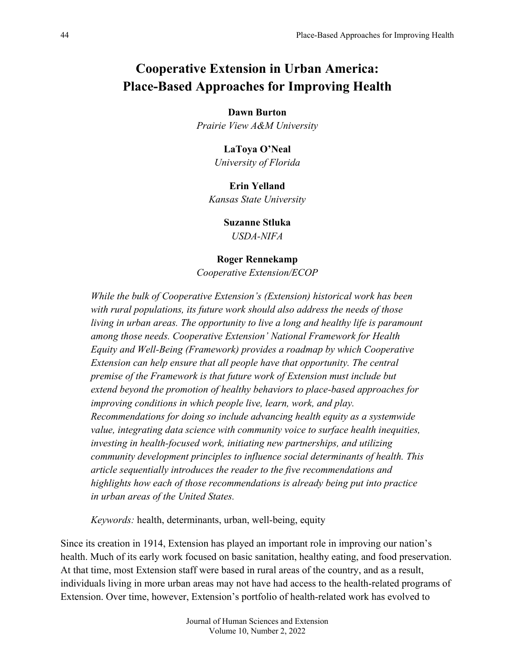# **Cooperative Extension in Urban America: Place-Based Approaches for Improving Health**

**Dawn Burton**

*Prairie View A&M University*

**LaToya O'Neal**

*University of Florida*

### **Erin Yelland**

*Kansas State University*

### **Suzanne Stluka**

*USDA-NIFA*

#### **Roger Rennekamp**

*Cooperative Extension/ECOP*

*While the bulk of Cooperative Extension's (Extension) historical work has been with rural populations, its future work should also address the needs of those living in urban areas. The opportunity to live a long and healthy life is paramount among those needs. Cooperative Extension' National Framework for Health Equity and Well-Being (Framework) provides a roadmap by which Cooperative Extension can help ensure that all people have that opportunity. The central premise of the Framework is that future work of Extension must include but extend beyond the promotion of healthy behaviors to place-based approaches for improving conditions in which people live, learn, work, and play. Recommendations for doing so include advancing health equity as a systemwide value, integrating data science with community voice to surface health inequities, investing in health-focused work, initiating new partnerships, and utilizing community development principles to influence social determinants of health. This article sequentially introduces the reader to the five recommendations and highlights how each of those recommendations is already being put into practice in urban areas of the United States.*

*Keywords:* health, determinants, urban, well-being, equity

Since its creation in 1914, Extension has played an important role in improving our nation's health. Much of its early work focused on basic sanitation, healthy eating, and food preservation. At that time, most Extension staff were based in rural areas of the country, and as a result, individuals living in more urban areas may not have had access to the health-related programs of Extension. Over time, however, Extension's portfolio of health-related work has evolved to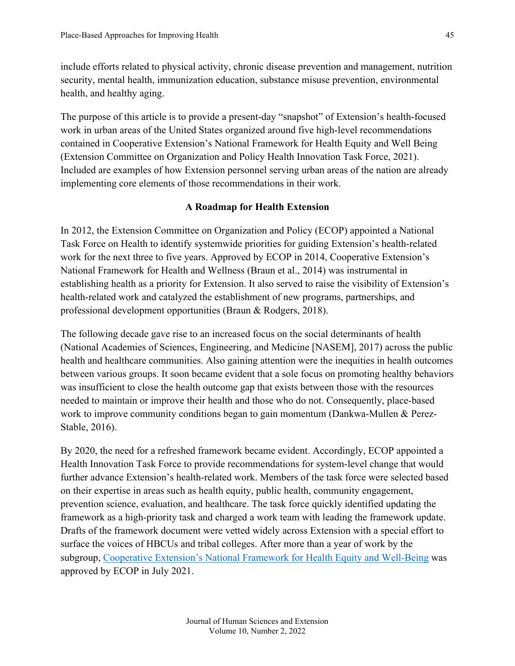include efforts related to physical activity, chronic disease prevention and management, nutrition security, mental health, immunization education, substance misuse prevention, environmental health, and healthy aging.

The purpose of this article is to provide a present-day "snapshot" of Extension's health-focused work in urban areas of the United States organized around five high-level recommendations contained in Cooperative Extension's National Framework for Health Equity and Well Being (Extension Committee on Organization and Policy Health Innovation Task Force, 2021). Included are examples of how Extension personnel serving urban areas of the nation are already implementing core elements of those recommendations in their work.

#### **A Roadmap for Health Extension**

In 2012, the Extension Committee on Organization and Policy (ECOP) appointed a National Task Force on Health to identify systemwide priorities for guiding Extension's health-related work for the next three to five years. Approved by ECOP in 2014, Cooperative Extension's National Framework for Health and Wellness (Braun et al., 2014) was instrumental in establishing health as a priority for Extension. It also served to raise the visibility of Extension's health-related work and catalyzed the establishment of new programs, partnerships, and professional development opportunities (Braun & Rodgers, 2018).

The following decade gave rise to an increased focus on the social determinants of health (National Academies of Sciences, Engineering, and Medicine [NASEM], 2017) across the public health and healthcare communities. Also gaining attention were the inequities in health outcomes between various groups. It soon became evident that a sole focus on promoting healthy behaviors was insufficient to close the health outcome gap that exists between those with the resources needed to maintain or improve their health and those who do not. Consequently, place-based work to improve community conditions began to gain momentum (Dankwa-Mullen & Perez-Stable, 2016).

By 2020, the need for a refreshed framework became evident. Accordingly, ECOP appointed a Health Innovation Task Force to provide recommendations for system-level change that would further advance Extension's health-related work. Members of the task force were selected based on their expertise in areas such as health equity, public health, community engagement, prevention science, evaluation, and healthcare. The task force quickly identified updating the framework as a high-priority task and charged a work team with leading the framework update. Drafts of the framework document were vetted widely across Extension with a special effort to surface the voices of HBCUs and tribal colleges. After more than a year of work by the subgroup, [Cooperative Extension's National Framework for Health Equity and Well-Being](https://www.aplu.org/members/commissions/food-environment-and-renewable-resources/board-on-agriculture-assembly/cooperative-extension-section/ecop-members/ecop-documents/2021%20EquityHealth%20Full.pdf) was approved by ECOP in July 2021.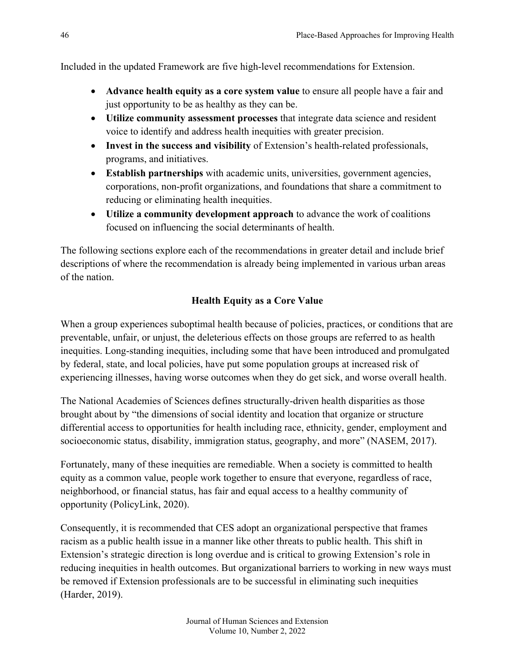Included in the updated Framework are five high-level recommendations for Extension.

- **Advance health equity as a core system value** to ensure all people have a fair and just opportunity to be as healthy as they can be.
- **Utilize community assessment processes** that integrate data science and resident voice to identify and address health inequities with greater precision.
- **Invest in the success and visibility** of Extension's health-related professionals, programs, and initiatives.
- **Establish partnerships** with academic units, universities, government agencies, corporations, non-profit organizations, and foundations that share a commitment to reducing or eliminating health inequities.
- **Utilize a community development approach** to advance the work of coalitions focused on influencing the social determinants of health.

The following sections explore each of the recommendations in greater detail and include brief descriptions of where the recommendation is already being implemented in various urban areas of the nation.

### **Health Equity as a Core Value**

When a group experiences suboptimal health because of policies, practices, or conditions that are preventable, unfair, or unjust, the deleterious effects on those groups are referred to as health inequities. Long-standing inequities, including some that have been introduced and promulgated by federal, state, and local policies, have put some population groups at increased risk of experiencing illnesses, having worse outcomes when they do get sick, and worse overall health.

The National Academies of Sciences defines structurally-driven health disparities as those brought about by "the dimensions of social identity and location that organize or structure differential access to opportunities for health including race, ethnicity, gender, employment and socioeconomic status, disability, immigration status, geography, and more" (NASEM, 2017).

Fortunately, many of these inequities are remediable. When a society is committed to health equity as a common value, people work together to ensure that everyone, regardless of race, neighborhood, or financial status, has fair and equal access to a healthy community of opportunity (PolicyLink, 2020).

Consequently, it is recommended that CES adopt an organizational perspective that frames racism as a public health issue in a manner like other threats to public health. This shift in Extension's strategic direction is long overdue and is critical to growing Extension's role in reducing inequities in health outcomes. But organizational barriers to working in new ways must be removed if Extension professionals are to be successful in eliminating such inequities (Harder, 2019).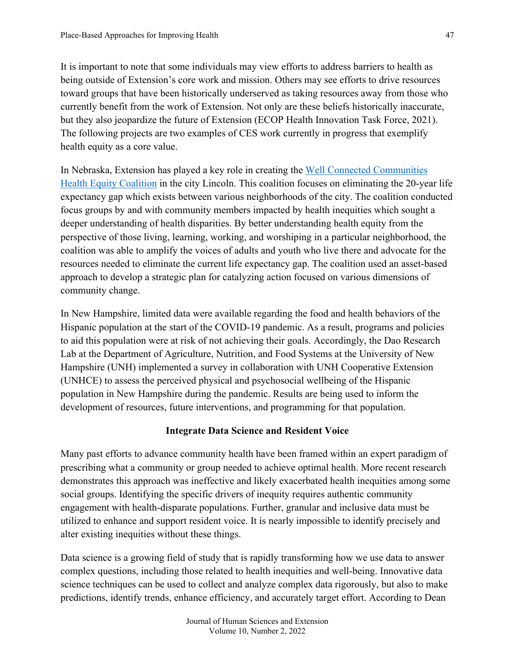It is important to note that some individuals may view efforts to address barriers to health as being outside of Extension's core work and mission. Others may see efforts to drive resources toward groups that have been historically underserved as taking resources away from those who currently benefit from the work of Extension. Not only are these beliefs historically inaccurate, but they also jeopardize the future of Extension (ECOP Health Innovation Task Force, 2021). The following projects are two examples of CES work currently in progress that exemplify health equity as a core value.

In Nebraska, Extension has played a key role in creating the [Well Connected Communities](https://lancaster.unl.edu/well-connected-communities-health-equity-coalition)  [Health Equity Coalition](https://lancaster.unl.edu/well-connected-communities-health-equity-coalition) in the city Lincoln. This coalition focuses on eliminating the 20-year life expectancy gap which exists between various neighborhoods of the city. The coalition conducted focus groups by and with community members impacted by health inequities which sought a deeper understanding of health disparities. By better understanding health equity from the perspective of those living, learning, working, and worshiping in a particular neighborhood, the coalition was able to amplify the voices of adults and youth who live there and advocate for the resources needed to eliminate the current life expectancy gap. The coalition used an asset-based approach to develop a strategic plan for catalyzing action focused on various dimensions of community change.

In New Hampshire, limited data were available regarding the food and health behaviors of the Hispanic population at the start of the COVID-19 pandemic. As a result, programs and policies to aid this population were at risk of not achieving their goals. Accordingly, the Dao Research Lab at the Department of Agriculture, Nutrition, and Food Systems at the University of New Hampshire (UNH) implemented a survey in collaboration with UNH Cooperative Extension (UNHCE) to assess the perceived physical and psychosocial wellbeing of the Hispanic population in New Hampshire during the pandemic. Results are being used to inform the development of resources, future interventions, and programming for that population.

### **Integrate Data Science and Resident Voice**

Many past efforts to advance community health have been framed within an expert paradigm of prescribing what a community or group needed to achieve optimal health. More recent research demonstrates this approach was ineffective and likely exacerbated health inequities among some social groups. Identifying the specific drivers of inequity requires authentic community engagement with health-disparate populations. Further, granular and inclusive data must be utilized to enhance and support resident voice. It is nearly impossible to identify precisely and alter existing inequities without these things.

Data science is a growing field of study that is rapidly transforming how we use data to answer complex questions, including those related to health inequities and well-being. Innovative data science techniques can be used to collect and analyze complex data rigorously, but also to make predictions, identify trends, enhance efficiency, and accurately target effort. According to Dean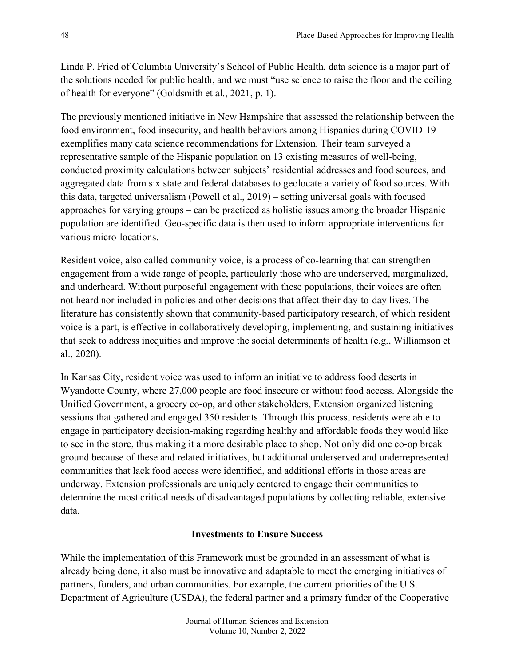Linda P. Fried of Columbia University's School of Public Health, data science is a major part of the solutions needed for public health, and we must "use science to raise the floor and the ceiling of health for everyone" (Goldsmith et al., 2021, p. 1).

The previously mentioned initiative in New Hampshire that assessed the relationship between the food environment, food insecurity, and health behaviors among Hispanics during COVID-19 exemplifies many data science recommendations for Extension. Their team surveyed a representative sample of the Hispanic population on 13 existing measures of well-being, conducted proximity calculations between subjects' residential addresses and food sources, and aggregated data from six state and federal databases to geolocate a variety of food sources. With this data, targeted universalism (Powell et al., 2019) – setting universal goals with focused approaches for varying groups – can be practiced as holistic issues among the broader Hispanic population are identified. Geo-specific data is then used to inform appropriate interventions for various micro-locations.

Resident voice, also called community voice, is a process of co-learning that can strengthen engagement from a wide range of people, particularly those who are underserved, marginalized, and underheard. Without purposeful engagement with these populations, their voices are often not heard nor included in policies and other decisions that affect their day-to-day lives. The literature has consistently shown that community-based participatory research, of which resident voice is a part, is effective in collaboratively developing, implementing, and sustaining initiatives that seek to address inequities and improve the social determinants of health (e.g., Williamson et al., 2020).

In Kansas City, resident voice was used to inform an initiative to address food deserts in Wyandotte County, where 27,000 people are food insecure or without food access. Alongside the Unified Government, a grocery co-op, and other stakeholders, Extension organized listening sessions that gathered and engaged 350 residents. Through this process, residents were able to engage in participatory decision-making regarding healthy and affordable foods they would like to see in the store, thus making it a more desirable place to shop. Not only did one co-op break ground because of these and related initiatives, but additional underserved and underrepresented communities that lack food access were identified, and additional efforts in those areas are underway. Extension professionals are uniquely centered to engage their communities to determine the most critical needs of disadvantaged populations by collecting reliable, extensive data.

### **Investments to Ensure Success**

While the implementation of this Framework must be grounded in an assessment of what is already being done, it also must be innovative and adaptable to meet the emerging initiatives of partners, funders, and urban communities. For example, the current priorities of the U.S. Department of Agriculture (USDA), the federal partner and a primary funder of the Cooperative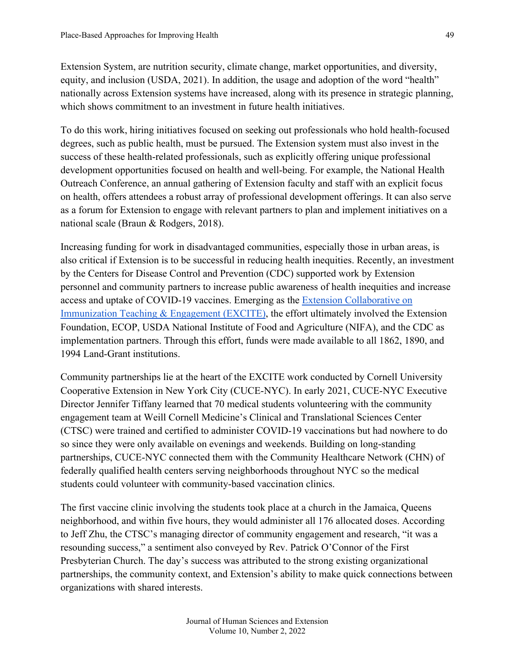Extension System, are nutrition security, climate change, market opportunities, and diversity, equity, and inclusion (USDA, 2021). In addition, the usage and adoption of the word "health" nationally across Extension systems have increased, along with its presence in strategic planning, which shows commitment to an investment in future health initiatives.

To do this work, hiring initiatives focused on seeking out professionals who hold health-focused degrees, such as public health, must be pursued. The Extension system must also invest in the success of these health-related professionals, such as explicitly offering unique professional development opportunities focused on health and well-being. For example, the National Health Outreach Conference, an annual gathering of Extension faculty and staff with an explicit focus on health, offers attendees a robust array of professional development offerings. It can also serve as a forum for Extension to engage with relevant partners to plan and implement initiatives on a national scale (Braun & Rodgers, 2018).

Increasing funding for work in disadvantaged communities, especially those in urban areas, is also critical if Extension is to be successful in reducing health inequities. Recently, an investment by the Centers for Disease Control and Prevention (CDC) supported work by Extension personnel and community partners to increase public awareness of health inequities and increase access and uptake of COVID-19 vaccines. Emerging as the [Extension Collaborative on](http://pages.extension.org/excite?utm_campaign=EXCITE%202021&utm_medium=email&_hsmi=181676963&_hsenc=p2ANqtz-8ZChzXheF_hnt0j2gtzQBEOp-TI2FB9eGhgtq_4X-Kj4nI-7DSgOOPBFm1g6DQ609moKICJYmkgpA5vbTfZo7zNhLZFw&utm_content=181676963&utm_source=hs_email)  [Immunization Teaching & Engagement \(EXCITE\),](http://pages.extension.org/excite?utm_campaign=EXCITE%202021&utm_medium=email&_hsmi=181676963&_hsenc=p2ANqtz-8ZChzXheF_hnt0j2gtzQBEOp-TI2FB9eGhgtq_4X-Kj4nI-7DSgOOPBFm1g6DQ609moKICJYmkgpA5vbTfZo7zNhLZFw&utm_content=181676963&utm_source=hs_email) the effort ultimately involved the Extension Foundation, ECOP, USDA National Institute of Food and Agriculture (NIFA), and the CDC as implementation partners. Through this effort, funds were made available to all 1862, 1890, and 1994 Land-Grant institutions.

Community partnerships lie at the heart of the EXCITE work conducted by Cornell University Cooperative Extension in New York City (CUCE-NYC). In early 2021, CUCE-NYC Executive Director Jennifer Tiffany learned that 70 medical students volunteering with the community engagement team at Weill Cornell Medicine's Clinical and Translational Sciences Center (CTSC) were trained and certified to administer COVID-19 vaccinations but had nowhere to do so since they were only available on evenings and weekends. Building on long-standing partnerships, CUCE-NYC connected them with the Community Healthcare Network (CHN) of federally qualified health centers serving neighborhoods throughout NYC so the medical students could volunteer with community-based vaccination clinics.

The first vaccine clinic involving the students took place at a church in the Jamaica, Queens neighborhood, and within five hours, they would administer all 176 allocated doses. According to Jeff Zhu, the CTSC's managing director of community engagement and research, "it was a resounding success," a sentiment also conveyed by Rev. Patrick O'Connor of the First Presbyterian Church. The day's success was attributed to the strong existing organizational partnerships, the community context, and Extension's ability to make quick connections between organizations with shared interests.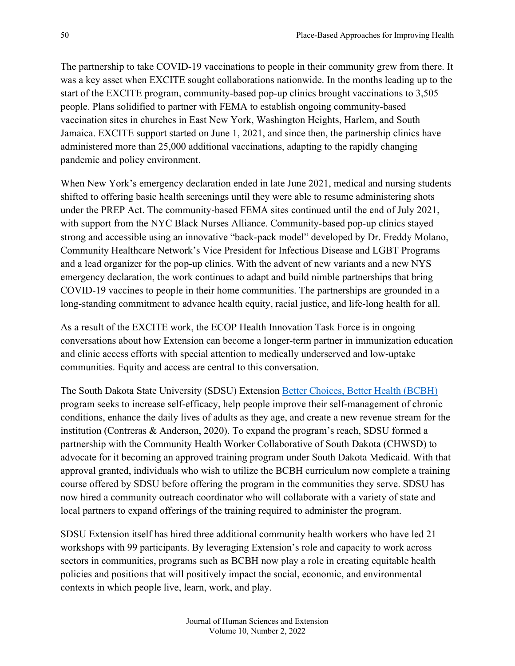The partnership to take COVID-19 vaccinations to people in their community grew from there. It was a key asset when EXCITE sought collaborations nationwide. In the months leading up to the start of the EXCITE program, community-based pop-up clinics brought vaccinations to 3,505 people. Plans solidified to partner with FEMA to establish ongoing community-based vaccination sites in churches in East New York, Washington Heights, Harlem, and South Jamaica. EXCITE support started on June 1, 2021, and since then, the partnership clinics have administered more than 25,000 additional vaccinations, adapting to the rapidly changing pandemic and policy environment.

When New York's emergency declaration ended in late June 2021, medical and nursing students shifted to offering basic health screenings until they were able to resume administering shots under the PREP Act. The community-based FEMA sites continued until the end of July 2021, with support from the NYC Black Nurses Alliance. Community-based pop-up clinics stayed strong and accessible using an innovative "back-pack model" developed by Dr. Freddy Molano, Community Healthcare Network's Vice President for Infectious Disease and LGBT Programs and a lead organizer for the pop-up clinics. With the advent of new variants and a new NYS emergency declaration, the work continues to adapt and build nimble partnerships that bring COVID-19 vaccines to people in their home communities. The partnerships are grounded in a long-standing commitment to advance health equity, racial justice, and life-long health for all.

As a result of the EXCITE work, the ECOP Health Innovation Task Force is in ongoing conversations about how Extension can become a longer-term partner in immunization education and clinic access efforts with special attention to medically underserved and low-uptake communities. Equity and access are central to this conversation.

The South Dakota State University (SDSU) Extension [Better Choices, Better Health](https://extension.sdstate.edu/better-choices-better-healthr) (BCBH) program seeks to increase self-efficacy, help people improve their self-management of chronic conditions, enhance the daily lives of adults as they age, and create a new revenue stream for the institution (Contreras & Anderson, 2020). To expand the program's reach, SDSU formed a partnership with the Community Health Worker Collaborative of South Dakota (CHWSD) to advocate for it becoming an approved training program under South Dakota Medicaid. With that approval granted, individuals who wish to utilize the BCBH curriculum now complete a training course offered by SDSU before offering the program in the communities they serve. SDSU has now hired a community outreach coordinator who will collaborate with a variety of state and local partners to expand offerings of the training required to administer the program.

SDSU Extension itself has hired three additional community health workers who have led 21 workshops with 99 participants. By leveraging Extension's role and capacity to work across sectors in communities, programs such as BCBH now play a role in creating equitable health policies and positions that will positively impact the social, economic, and environmental contexts in which people live, learn, work, and play.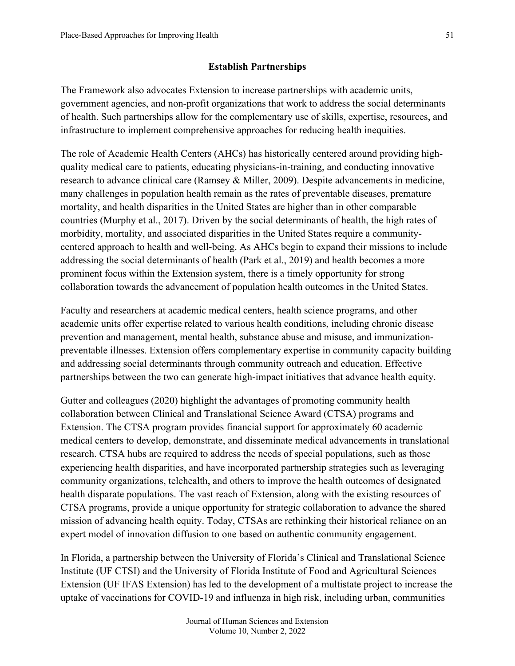### **Establish Partnerships**

The Framework also advocates Extension to increase partnerships with academic units, government agencies, and non-profit organizations that work to address the social determinants of health. Such partnerships allow for the complementary use of skills, expertise, resources, and infrastructure to implement comprehensive approaches for reducing health inequities.

The role of Academic Health Centers (AHCs) has historically centered around providing highquality medical care to patients, educating physicians-in-training, and conducting innovative research to advance clinical care (Ramsey & Miller, 2009). Despite advancements in medicine, many challenges in population health remain as the rates of preventable diseases, premature mortality, and health disparities in the United States are higher than in other comparable countries (Murphy et al., 2017). Driven by the social determinants of health, the high rates of morbidity, mortality, and associated disparities in the United States require a communitycentered approach to health and well-being. As AHCs begin to expand their missions to include addressing the social determinants of health (Park et al., 2019) and health becomes a more prominent focus within the Extension system, there is a timely opportunity for strong collaboration towards the advancement of population health outcomes in the United States.

Faculty and researchers at academic medical centers, health science programs, and other academic units offer expertise related to various health conditions, including chronic disease prevention and management, mental health, substance abuse and misuse, and immunizationpreventable illnesses. Extension offers complementary expertise in community capacity building and addressing social determinants through community outreach and education. Effective partnerships between the two can generate high-impact initiatives that advance health equity.

Gutter and colleagues (2020) highlight the advantages of promoting community health collaboration between Clinical and Translational Science Award (CTSA) programs and Extension. The CTSA program provides financial support for approximately 60 academic medical centers to develop, demonstrate, and disseminate medical advancements in translational research. CTSA hubs are required to address the needs of special populations, such as those experiencing health disparities, and have incorporated partnership strategies such as leveraging community organizations, telehealth, and others to improve the health outcomes of designated health disparate populations. The vast reach of Extension, along with the existing resources of CTSA programs, provide a unique opportunity for strategic collaboration to advance the shared mission of advancing health equity. Today, CTSAs are rethinking their historical reliance on an expert model of innovation diffusion to one based on authentic community engagement.

In Florida, a partnership between the University of Florida's Clinical and Translational Science Institute (UF CTSI) and the University of Florida Institute of Food and Agricultural Sciences Extension (UF IFAS Extension) has led to the development of a multistate project to increase the uptake of vaccinations for COVID-19 and influenza in high risk, including urban, communities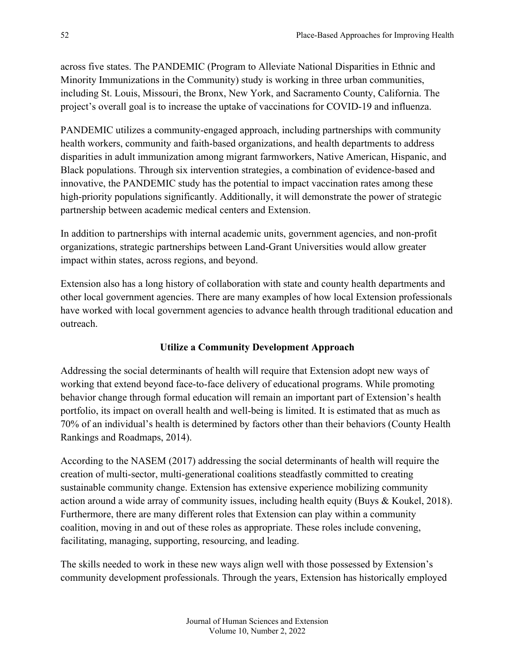across five states. The PANDEMIC (Program to Alleviate National Disparities in Ethnic and Minority Immunizations in the Community) study is working in three urban communities, including St. Louis, Missouri, the Bronx, New York, and Sacramento County, California. The project's overall goal is to increase the uptake of vaccinations for COVID-19 and influenza.

PANDEMIC utilizes a community-engaged approach, including partnerships with community health workers, community and faith-based organizations, and health departments to address disparities in adult immunization among migrant farmworkers, Native American, Hispanic, and Black populations. Through six intervention strategies, a combination of evidence-based and innovative, the PANDEMIC study has the potential to impact vaccination rates among these high-priority populations significantly. Additionally, it will demonstrate the power of strategic partnership between academic medical centers and Extension.

In addition to partnerships with internal academic units, government agencies, and non-profit organizations, strategic partnerships between Land-Grant Universities would allow greater impact within states, across regions, and beyond.

Extension also has a long history of collaboration with state and county health departments and other local government agencies. There are many examples of how local Extension professionals have worked with local government agencies to advance health through traditional education and outreach.

### **Utilize a Community Development Approach**

Addressing the social determinants of health will require that Extension adopt new ways of working that extend beyond face-to-face delivery of educational programs. While promoting behavior change through formal education will remain an important part of Extension's health portfolio, its impact on overall health and well-being is limited. It is estimated that as much as 70% of an individual's health is determined by factors other than their behaviors (County Health Rankings and Roadmaps, 2014).

According to the NASEM (2017) addressing the social determinants of health will require the creation of multi-sector, multi-generational coalitions steadfastly committed to creating sustainable community change. Extension has extensive experience mobilizing community action around a wide array of community issues, including health equity (Buys & Koukel, 2018). Furthermore, there are many different roles that Extension can play within a community coalition, moving in and out of these roles as appropriate. These roles include convening, facilitating, managing, supporting, resourcing, and leading.

The skills needed to work in these new ways align well with those possessed by Extension's community development professionals. Through the years, Extension has historically employed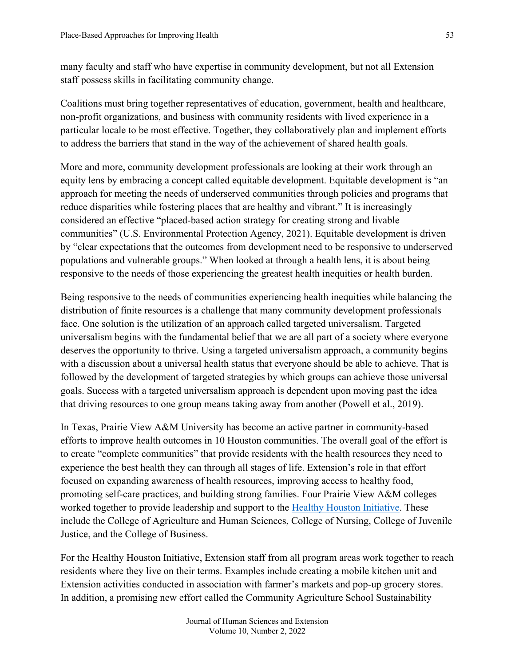many faculty and staff who have expertise in community development, but not all Extension staff possess skills in facilitating community change.

Coalitions must bring together representatives of education, government, health and healthcare, non-profit organizations, and business with community residents with lived experience in a particular locale to be most effective. Together, they collaboratively plan and implement efforts to address the barriers that stand in the way of the achievement of shared health goals.

More and more, community development professionals are looking at their work through an equity lens by embracing a concept called equitable development. Equitable development is "an approach for meeting the needs of underserved communities through policies and programs that reduce disparities while fostering places that are healthy and vibrant." It is increasingly considered an effective "placed-based action strategy for creating strong and livable communities" (U.S. Environmental Protection Agency, 2021). Equitable development is driven by "clear expectations that the outcomes from development need to be responsive to underserved populations and vulnerable groups." When looked at through a health lens, it is about being responsive to the needs of those experiencing the greatest health inequities or health burden.

Being responsive to the needs of communities experiencing health inequities while balancing the distribution of finite resources is a challenge that many community development professionals face. One solution is the utilization of an approach called targeted universalism. Targeted universalism begins with the fundamental belief that we are all part of a society where everyone deserves the opportunity to thrive. Using a targeted universalism approach, a community begins with a discussion about a universal health status that everyone should be able to achieve. That is followed by the development of targeted strategies by which groups can achieve those universal goals. Success with a targeted universalism approach is dependent upon moving past the idea that driving resources to one group means taking away from another (Powell et al., 2019).

In Texas, Prairie View A&M University has become an active partner in community-based efforts to improve health outcomes in 10 Houston communities. The overall goal of the effort is to create "complete communities" that provide residents with the health resources they need to experience the best health they can through all stages of life. Extension's role in that effort focused on expanding awareness of health resources, improving access to healthy food, promoting self-care practices, and building strong families. Four Prairie View A&M colleges worked together to provide leadership and support to the [Healthy Houston Initiative.](https://www.pvamu.edu/cahs/healthy-houston/) These include the College of Agriculture and Human Sciences, College of Nursing, College of Juvenile Justice, and the College of Business.

For the Healthy Houston Initiative, Extension staff from all program areas work together to reach residents where they live on their terms. Examples include creating a mobile kitchen unit and Extension activities conducted in association with farmer's markets and pop-up grocery stores. In addition, a promising new effort called the Community Agriculture School Sustainability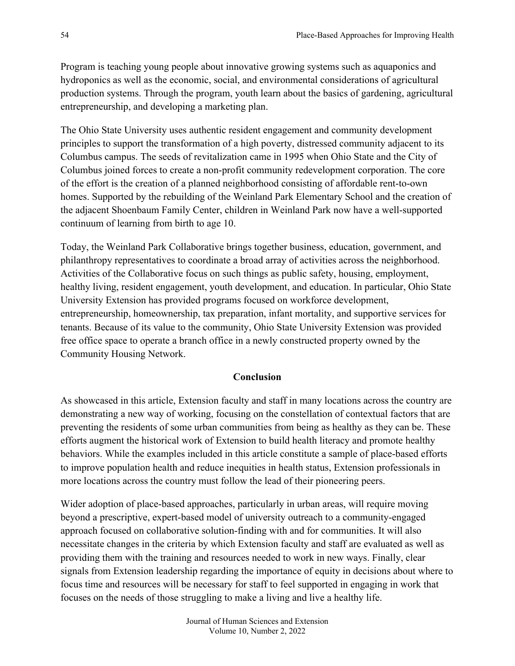Program is teaching young people about innovative growing systems such as aquaponics and hydroponics as well as the economic, social, and environmental considerations of agricultural production systems. Through the program, youth learn about the basics of gardening, agricultural entrepreneurship, and developing a marketing plan.

The Ohio State University uses authentic resident engagement and community development principles to support the transformation of a high poverty, distressed community adjacent to its Columbus campus. The seeds of revitalization came in 1995 when Ohio State and the City of Columbus joined forces to create a non-profit community redevelopment corporation. The core of the effort is the creation of a planned neighborhood consisting of affordable rent-to-own homes. Supported by the rebuilding of the Weinland Park Elementary School and the creation of the adjacent Shoenbaum Family Center, children in Weinland Park now have a well-supported continuum of learning from birth to age 10.

Today, the Weinland Park Collaborative brings together business, education, government, and philanthropy representatives to coordinate a broad array of activities across the neighborhood. Activities of the Collaborative focus on such things as public safety, housing, employment, healthy living, resident engagement, youth development, and education. In particular, Ohio State University Extension has provided programs focused on workforce development, entrepreneurship, homeownership, tax preparation, infant mortality, and supportive services for tenants. Because of its value to the community, Ohio State University Extension was provided free office space to operate a branch office in a newly constructed property owned by the Community Housing Network.

### **Conclusion**

As showcased in this article, Extension faculty and staff in many locations across the country are demonstrating a new way of working, focusing on the constellation of contextual factors that are preventing the residents of some urban communities from being as healthy as they can be. These efforts augment the historical work of Extension to build health literacy and promote healthy behaviors. While the examples included in this article constitute a sample of place-based efforts to improve population health and reduce inequities in health status, Extension professionals in more locations across the country must follow the lead of their pioneering peers.

Wider adoption of place-based approaches, particularly in urban areas, will require moving beyond a prescriptive, expert-based model of university outreach to a community-engaged approach focused on collaborative solution-finding with and for communities. It will also necessitate changes in the criteria by which Extension faculty and staff are evaluated as well as providing them with the training and resources needed to work in new ways. Finally, clear signals from Extension leadership regarding the importance of equity in decisions about where to focus time and resources will be necessary for staff to feel supported in engaging in work that focuses on the needs of those struggling to make a living and live a healthy life.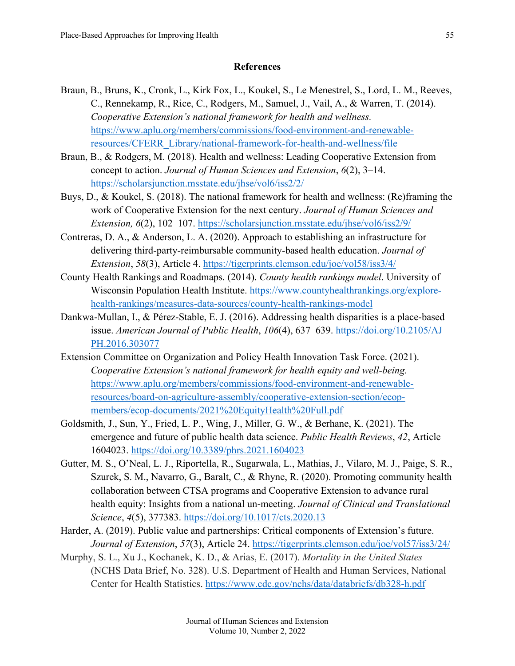### **References**

- Braun, B., Bruns, K., Cronk, L., Kirk Fox, L., Koukel, S., Le Menestrel, S., Lord, L. M., Reeves, C., Rennekamp, R., Rice, C., Rodgers, M., Samuel, J., Vail, A., & Warren, T. (2014). *Cooperative Extension's national framework for health and wellness.* [https://www.aplu.org/members/commissions/food-environment-and-renewable](https://www.aplu.org/members/commissions/food-environment-and-renewable-resources/CFERR_Library/national-framework-for-health-and-wellness/file)[resources/CFERR\\_Library/national-framework-for-health-and-wellness/file](https://www.aplu.org/members/commissions/food-environment-and-renewable-resources/CFERR_Library/national-framework-for-health-and-wellness/file)
- Braun, B., & Rodgers, M. (2018). Health and wellness: Leading Cooperative Extension from concept to action. *Journal of Human Sciences and Extension*, *6*(2), 3–14. <https://scholarsjunction.msstate.edu/jhse/vol6/iss2/2/>
- Buys, D., & Koukel, S. (2018). The national framework for health and wellness: (Re)framing the work of Cooperative Extension for the next century. *Journal of Human Sciences and Extension, 6*(2), 102–107. <https://scholarsjunction.msstate.edu/jhse/vol6/iss2/9/>
- Contreras, D. A., & Anderson, L. A. (2020). Approach to establishing an infrastructure for delivering third-party-reimbursable community-based health education. *Journal of Extension*, *58*(3), Article 4.<https://tigerprints.clemson.edu/joe/vol58/iss3/4/>
- County Health Rankings and Roadmaps. (2014). *County health rankings model*. University of Wisconsin Population Health Institute. [https://www.countyhealthrankings.org/explore](https://www.countyhealthrankings.org/explore-health-rankings/measures-data-sources/county-health-rankings-model)[health-rankings/measures-data-sources/county-health-rankings-model](https://www.countyhealthrankings.org/explore-health-rankings/measures-data-sources/county-health-rankings-model)
- Dankwa-Mullan, I., & Pérez-Stable, E. J. (2016). Addressing health disparities is a place-based issue. *American Journal of Public Health*, *106*(4), 637–639. [https://doi.org/10.2105/AJ](https://doi.org/10.2105/AJPH.2016.303077) [PH.2016.303077](https://doi.org/10.2105/AJPH.2016.303077)
- Extension Committee on Organization and Policy Health Innovation Task Force. (2021). *Cooperative Extension's national framework for health equity and well-being.* [https://www.aplu.org/members/commissions/food-environment-and-renewable](https://www.aplu.org/members/commissions/food-environment-and-renewable-resources/board-on-agriculture-assembly/cooperative-extension-section/ecop-members/ecop-documents/2021%20EquityHealth%20Full.pdf)[resources/board-on-agriculture-assembly/cooperative-extension-section/ecop](https://www.aplu.org/members/commissions/food-environment-and-renewable-resources/board-on-agriculture-assembly/cooperative-extension-section/ecop-members/ecop-documents/2021%20EquityHealth%20Full.pdf)[members/ecop-documents/2021%20EquityHealth%20Full.pdf](https://www.aplu.org/members/commissions/food-environment-and-renewable-resources/board-on-agriculture-assembly/cooperative-extension-section/ecop-members/ecop-documents/2021%20EquityHealth%20Full.pdf)
- Goldsmith, J., Sun, Y., Fried, L. P., Wing, J., Miller, G. W., & Berhane, K. (2021). The emergence and future of public health data science. *Public Health Reviews*, *42*, Article 1604023.<https://doi.org/10.3389/phrs.2021.1604023>
- Gutter, M. S., O'Neal, L. J., Riportella, R., Sugarwala, L., Mathias, J., Vilaro, M. J., Paige, S. R., Szurek, S. M., Navarro, G., Baralt, C., & Rhyne, R. (2020). Promoting community health collaboration between CTSA programs and Cooperative Extension to advance rural health equity: Insights from a national un-meeting. *Journal of Clinical and Translational Science*, *4*(5), 377383.<https://doi.org/10.1017/cts.2020.13>
- Harder, A. (2019). Public value and partnerships: Critical components of Extension's future. *Journal of Extension*, *57*(3), Article 24.<https://tigerprints.clemson.edu/joe/vol57/iss3/24/>
- Murphy, S. L., Xu J., Kochanek, K. D., & Arias, E. (2017). *Mortality in the United States* (NCHS Data Brief, No. 328). U.S. Department of Health and Human Services, National Center for Health Statistics. <https://www.cdc.gov/nchs/data/databriefs/db328-h.pdf>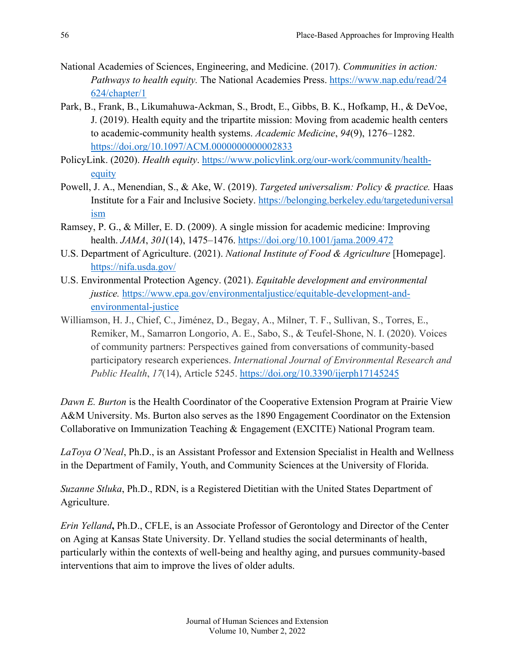- National Academies of Sciences, Engineering, and Medicine. (2017). *Communities in action: Pathways to health equity.* The National Academies Press. [https://www.nap.edu/read/24](https://www.nap.edu/read/24624/chapter/1) [624/chapter/1](https://www.nap.edu/read/24624/chapter/1)
- Park, B., Frank, B., Likumahuwa-Ackman, S., Brodt, E., Gibbs, B. K., Hofkamp, H., & DeVoe, J. (2019). Health equity and the tripartite mission: Moving from academic health centers to academic-community health systems. *Academic Medicine*, *94*(9), 1276–1282. <https://doi.org/10.1097/ACM.0000000000002833>
- PolicyLink. (2020). *Health equity*. [https://www.policylink.org/our-work/community/health](https://www.policylink.org/our-work/community/health-equity)[equity](https://www.policylink.org/our-work/community/health-equity)
- Powell, J. A., Menendian, S., & Ake, W. (2019). *Targeted universalism: Policy & practice.* Haas Institute for a Fair and Inclusive Society. [https://belonging.berkeley.edu/targeteduniversal](https://belonging.berkeley.edu/targeteduniversalism) [ism](https://belonging.berkeley.edu/targeteduniversalism)
- Ramsey, P. G., & Miller, E. D. (2009). A single mission for academic medicine: Improving health. *JAMA*, *301*(14), 1475–1476.<https://doi.org/10.1001/jama.2009.472>
- U.S. Department of Agriculture. (2021). *National Institute of Food & Agriculture* [Homepage]. <https://nifa.usda.gov/>
- U.S. Environmental Protection Agency. (2021). *Equitable development and environmental justice.* [https://www.epa.gov/environmentaljustice/equitable-development-and](https://www.epa.gov/environmentaljustice/equitable-development-and-environmental-justice)[environmental-justice](https://www.epa.gov/environmentaljustice/equitable-development-and-environmental-justice)
- Williamson, H. J., Chief, C., Jiménez, D., Begay, A., Milner, T. F., Sullivan, S., Torres, E., Remiker, M., Samarron Longorio, A. E., Sabo, S., & Teufel-Shone, N. I. (2020). Voices of community partners: Perspectives gained from conversations of community-based participatory research experiences. *International Journal of Environmental Research and Public Health*, *17*(14), Article 5245.<https://doi.org/10.3390/ijerph17145245>

*Dawn E. Burton* is the Health Coordinator of the Cooperative Extension Program at Prairie View A&M University. Ms. Burton also serves as the 1890 Engagement Coordinator on the Extension Collaborative on Immunization Teaching & Engagement (EXCITE) National Program team.

*LaToya O'Neal*, Ph.D., is an Assistant Professor and Extension Specialist in Health and Wellness in the Department of Family, Youth, and Community Sciences at the University of Florida.

*Suzanne Stluka*, Ph.D., RDN, is a Registered Dietitian with the United States Department of Agriculture.

*Erin Yelland***,** Ph.D., CFLE, is an Associate Professor of Gerontology and Director of the Center on Aging at Kansas State University. Dr. Yelland studies the social determinants of health, particularly within the contexts of well-being and healthy aging, and pursues community-based interventions that aim to improve the lives of older adults.